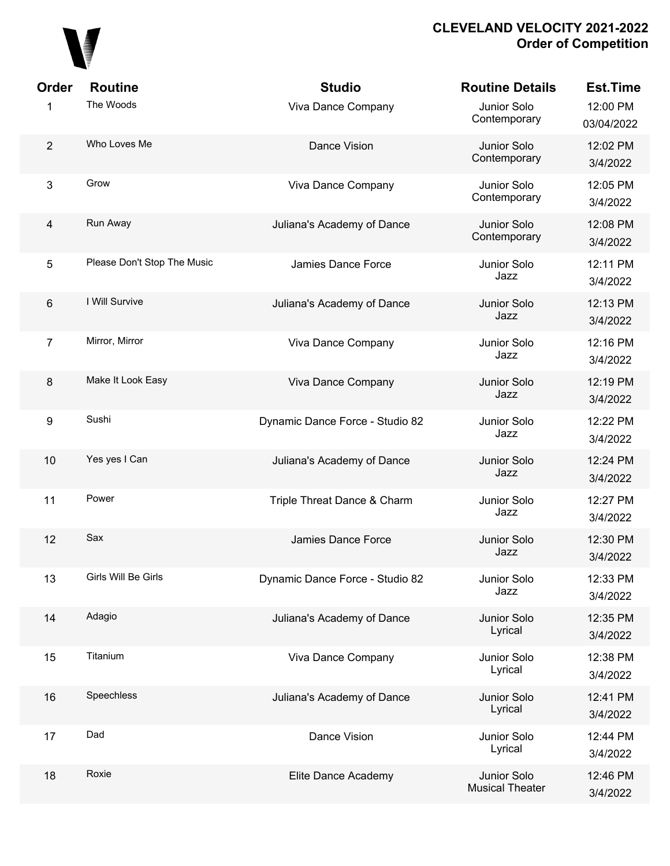

| Order                   | <b>Routine</b>              | <b>Studio</b>                   | <b>Routine Details</b>                | <b>Est.Time</b>        |
|-------------------------|-----------------------------|---------------------------------|---------------------------------------|------------------------|
| 1                       | The Woods                   | Viva Dance Company              | Junior Solo<br>Contemporary           | 12:00 PM<br>03/04/2022 |
| $\overline{2}$          | Who Loves Me                | Dance Vision                    | Junior Solo<br>Contemporary           | 12:02 PM<br>3/4/2022   |
| 3                       | Grow                        | Viva Dance Company              | Junior Solo<br>Contemporary           | 12:05 PM<br>3/4/2022   |
| $\overline{\mathbf{4}}$ | Run Away                    | Juliana's Academy of Dance      | Junior Solo<br>Contemporary           | 12:08 PM<br>3/4/2022   |
| 5                       | Please Don't Stop The Music | Jamies Dance Force              | Junior Solo<br>Jazz                   | 12:11 PM<br>3/4/2022   |
| 6                       | I Will Survive              | Juliana's Academy of Dance      | Junior Solo<br>Jazz                   | 12:13 PM<br>3/4/2022   |
| $\overline{7}$          | Mirror, Mirror              | Viva Dance Company              | Junior Solo<br>Jazz                   | 12:16 PM<br>3/4/2022   |
| $\bf 8$                 | Make It Look Easy           | Viva Dance Company              | Junior Solo<br>Jazz                   | 12:19 PM<br>3/4/2022   |
| 9                       | Sushi                       | Dynamic Dance Force - Studio 82 | Junior Solo<br>Jazz                   | 12:22 PM<br>3/4/2022   |
| 10                      | Yes yes I Can               | Juliana's Academy of Dance      | Junior Solo<br>Jazz                   | 12:24 PM<br>3/4/2022   |
| 11                      | Power                       | Triple Threat Dance & Charm     | Junior Solo<br>Jazz                   | 12:27 PM<br>3/4/2022   |
| 12                      | Sax                         | Jamies Dance Force              | Junior Solo<br>Jazz                   | 12:30 PM<br>3/4/2022   |
| 13                      | Girls Will Be Girls         | Dynamic Dance Force - Studio 82 | Junior Solo<br>Jazz                   | 12:33 PM<br>3/4/2022   |
| 14                      | Adagio                      | Juliana's Academy of Dance      | Junior Solo<br>Lyrical                | 12:35 PM<br>3/4/2022   |
| 15                      | Titanium                    | Viva Dance Company              | Junior Solo<br>Lyrical                | 12:38 PM<br>3/4/2022   |
| 16                      | Speechless                  | Juliana's Academy of Dance      | Junior Solo<br>Lyrical                | 12:41 PM<br>3/4/2022   |
| 17                      | Dad                         | Dance Vision                    | Junior Solo<br>Lyrical                | 12:44 PM<br>3/4/2022   |
| 18                      | Roxie                       | Elite Dance Academy             | Junior Solo<br><b>Musical Theater</b> | 12:46 PM<br>3/4/2022   |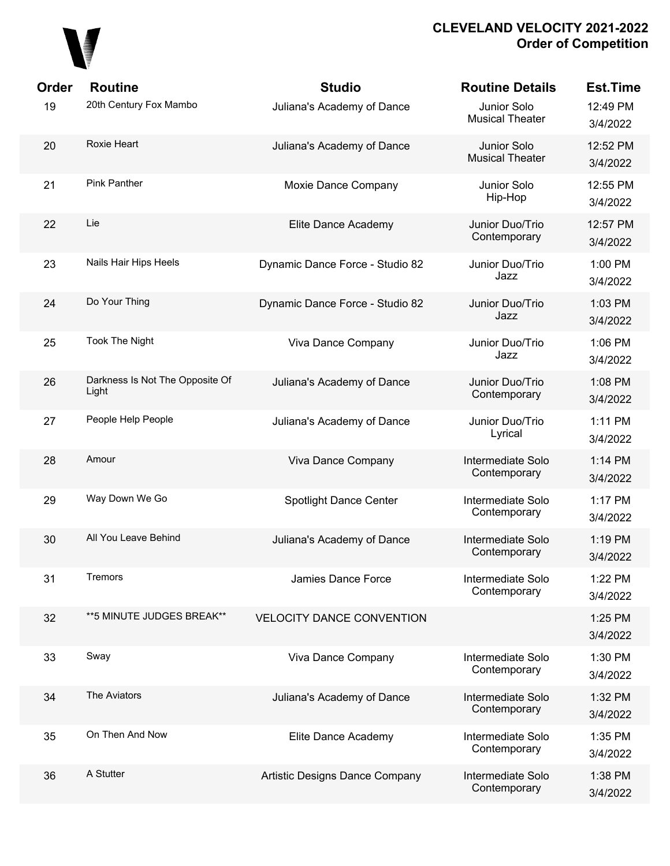

| <b>Order</b> | <b>Routine</b>                           | <b>Studio</b>                    | <b>Routine Details</b>                | <b>Est.Time</b>      |
|--------------|------------------------------------------|----------------------------------|---------------------------------------|----------------------|
| 19           | 20th Century Fox Mambo                   | Juliana's Academy of Dance       | Junior Solo<br><b>Musical Theater</b> | 12:49 PM<br>3/4/2022 |
| 20           | Roxie Heart                              | Juliana's Academy of Dance       | Junior Solo<br><b>Musical Theater</b> | 12:52 PM<br>3/4/2022 |
| 21           | <b>Pink Panther</b>                      | Moxie Dance Company              | Junior Solo<br>Hip-Hop                | 12:55 PM<br>3/4/2022 |
| 22           | Lie                                      | Elite Dance Academy              | Junior Duo/Trio<br>Contemporary       | 12:57 PM<br>3/4/2022 |
| 23           | Nails Hair Hips Heels                    | Dynamic Dance Force - Studio 82  | Junior Duo/Trio<br>Jazz               | 1:00 PM<br>3/4/2022  |
| 24           | Do Your Thing                            | Dynamic Dance Force - Studio 82  | Junior Duo/Trio<br>Jazz               | 1:03 PM<br>3/4/2022  |
| 25           | <b>Took The Night</b>                    | Viva Dance Company               | Junior Duo/Trio<br>Jazz               | 1:06 PM<br>3/4/2022  |
| 26           | Darkness Is Not The Opposite Of<br>Light | Juliana's Academy of Dance       | Junior Duo/Trio<br>Contemporary       | 1:08 PM<br>3/4/2022  |
| 27           | People Help People                       | Juliana's Academy of Dance       | Junior Duo/Trio<br>Lyrical            | 1:11 PM<br>3/4/2022  |
| 28           | Amour                                    | Viva Dance Company               | Intermediate Solo<br>Contemporary     | 1:14 PM<br>3/4/2022  |
| 29           | Way Down We Go                           | <b>Spotlight Dance Center</b>    | Intermediate Solo<br>Contemporary     | 1:17 PM<br>3/4/2022  |
| 30           | All You Leave Behind                     | Juliana's Academy of Dance       | Intermediate Solo<br>Contemporary     | 1:19 PM<br>3/4/2022  |
| 31           | <b>Tremors</b>                           | Jamies Dance Force               | Intermediate Solo<br>Contemporary     | 1:22 PM<br>3/4/2022  |
| 32           | ** 5 MINUTE JUDGES BREAK**               | <b>VELOCITY DANCE CONVENTION</b> |                                       | 1:25 PM<br>3/4/2022  |
| 33           | Sway                                     | Viva Dance Company               | Intermediate Solo<br>Contemporary     | 1:30 PM<br>3/4/2022  |
| 34           | The Aviators                             | Juliana's Academy of Dance       | Intermediate Solo<br>Contemporary     | 1:32 PM<br>3/4/2022  |
| 35           | On Then And Now                          | Elite Dance Academy              | Intermediate Solo<br>Contemporary     | 1:35 PM<br>3/4/2022  |
| 36           | A Stutter                                | Artistic Designs Dance Company   | Intermediate Solo<br>Contemporary     | 1:38 PM<br>3/4/2022  |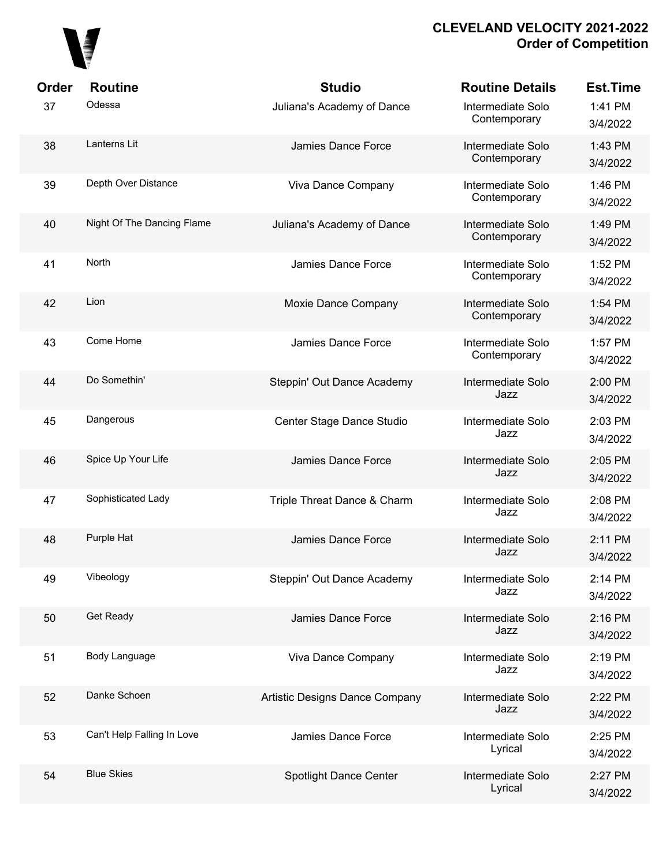

| Order | <b>Routine</b>             | <b>Studio</b>                  | <b>Routine Details</b>            | <b>Est.Time</b>     |
|-------|----------------------------|--------------------------------|-----------------------------------|---------------------|
| 37    | Odessa                     | Juliana's Academy of Dance     | Intermediate Solo<br>Contemporary | 1:41 PM<br>3/4/2022 |
| 38    | Lanterns Lit               | Jamies Dance Force             | Intermediate Solo<br>Contemporary | 1:43 PM<br>3/4/2022 |
| 39    | Depth Over Distance        | Viva Dance Company             | Intermediate Solo<br>Contemporary | 1:46 PM<br>3/4/2022 |
| 40    | Night Of The Dancing Flame | Juliana's Academy of Dance     | Intermediate Solo<br>Contemporary | 1:49 PM<br>3/4/2022 |
| 41    | <b>North</b>               | Jamies Dance Force             | Intermediate Solo<br>Contemporary | 1:52 PM<br>3/4/2022 |
| 42    | Lion                       | Moxie Dance Company            | Intermediate Solo<br>Contemporary | 1:54 PM<br>3/4/2022 |
| 43    | Come Home                  | Jamies Dance Force             | Intermediate Solo<br>Contemporary | 1:57 PM<br>3/4/2022 |
| 44    | Do Somethin'               | Steppin' Out Dance Academy     | Intermediate Solo<br>Jazz         | 2:00 PM<br>3/4/2022 |
| 45    | Dangerous                  | Center Stage Dance Studio      | Intermediate Solo<br>Jazz         | 2:03 PM<br>3/4/2022 |
| 46    | Spice Up Your Life         | Jamies Dance Force             | Intermediate Solo<br>Jazz         | 2:05 PM<br>3/4/2022 |
| 47    | Sophisticated Lady         | Triple Threat Dance & Charm    | Intermediate Solo<br>Jazz         | 2:08 PM<br>3/4/2022 |
| 48    | Purple Hat                 | Jamies Dance Force             | Intermediate Solo<br>Jazz         | 2:11 PM<br>3/4/2022 |
| 49    | Vibeology                  | Steppin' Out Dance Academy     | Intermediate Solo<br>Jazz         | 2:14 PM<br>3/4/2022 |
| 50    | Get Ready                  | Jamies Dance Force             | Intermediate Solo<br>Jazz         | 2:16 PM<br>3/4/2022 |
| 51    | Body Language              | Viva Dance Company             | Intermediate Solo<br>Jazz         | 2:19 PM<br>3/4/2022 |
| 52    | Danke Schoen               | Artistic Designs Dance Company | Intermediate Solo<br>Jazz         | 2:22 PM<br>3/4/2022 |
| 53    | Can't Help Falling In Love | Jamies Dance Force             | Intermediate Solo<br>Lyrical      | 2:25 PM<br>3/4/2022 |
| 54    | <b>Blue Skies</b>          | <b>Spotlight Dance Center</b>  | Intermediate Solo<br>Lyrical      | 2:27 PM<br>3/4/2022 |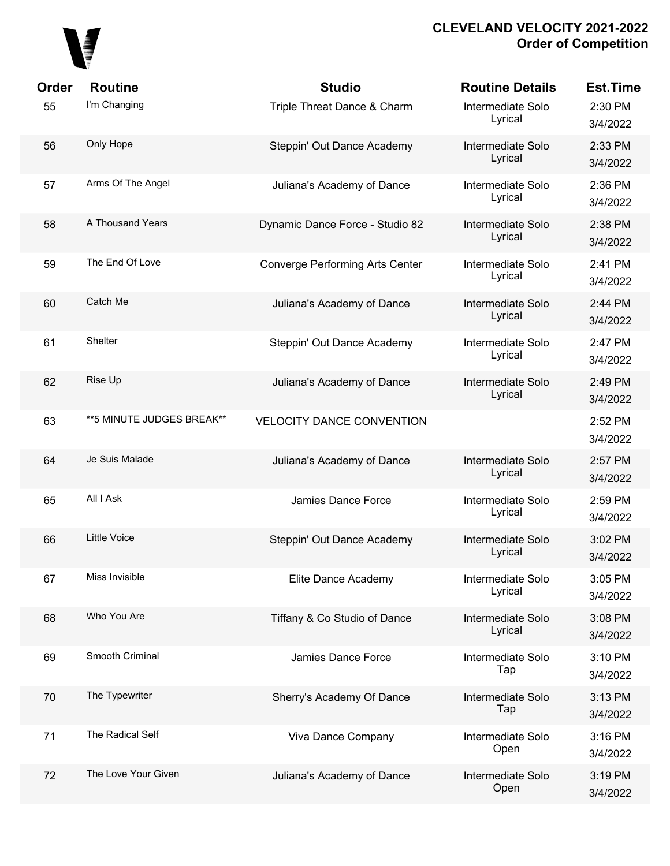

| Order | <b>Routine</b>            | <b>Studio</b>                          | <b>Routine Details</b>       | <b>Est.Time</b>     |
|-------|---------------------------|----------------------------------------|------------------------------|---------------------|
| 55    | I'm Changing              | Triple Threat Dance & Charm            | Intermediate Solo<br>Lyrical | 2:30 PM<br>3/4/2022 |
| 56    | Only Hope                 | Steppin' Out Dance Academy             | Intermediate Solo<br>Lyrical | 2:33 PM<br>3/4/2022 |
| 57    | Arms Of The Angel         | Juliana's Academy of Dance             | Intermediate Solo<br>Lyrical | 2:36 PM<br>3/4/2022 |
| 58    | A Thousand Years          | Dynamic Dance Force - Studio 82        | Intermediate Solo<br>Lyrical | 2:38 PM<br>3/4/2022 |
| 59    | The End Of Love           | <b>Converge Performing Arts Center</b> | Intermediate Solo<br>Lyrical | 2:41 PM<br>3/4/2022 |
| 60    | Catch Me                  | Juliana's Academy of Dance             | Intermediate Solo<br>Lyrical | 2:44 PM<br>3/4/2022 |
| 61    | Shelter                   | Steppin' Out Dance Academy             | Intermediate Solo<br>Lyrical | 2:47 PM<br>3/4/2022 |
| 62    | Rise Up                   | Juliana's Academy of Dance             | Intermediate Solo<br>Lyrical | 2:49 PM<br>3/4/2022 |
| 63    | **5 MINUTE JUDGES BREAK** | <b>VELOCITY DANCE CONVENTION</b>       |                              | 2:52 PM<br>3/4/2022 |
| 64    | Je Suis Malade            | Juliana's Academy of Dance             | Intermediate Solo<br>Lyrical | 2:57 PM<br>3/4/2022 |
| 65    | All I Ask                 | Jamies Dance Force                     | Intermediate Solo<br>Lyrical | 2:59 PM<br>3/4/2022 |
| 66    | <b>Little Voice</b>       | Steppin' Out Dance Academy             | Intermediate Solo<br>Lyrical | 3:02 PM<br>3/4/2022 |
| 67    | Miss Invisible            | Elite Dance Academy                    | Intermediate Solo<br>Lyrical | 3:05 PM<br>3/4/2022 |
| 68    | Who You Are               | Tiffany & Co Studio of Dance           | Intermediate Solo<br>Lyrical | 3:08 PM<br>3/4/2022 |
| 69    | Smooth Criminal           | Jamies Dance Force                     | Intermediate Solo<br>Tap     | 3:10 PM<br>3/4/2022 |
| 70    | The Typewriter            | Sherry's Academy Of Dance              | Intermediate Solo<br>Tap     | 3:13 PM<br>3/4/2022 |
| 71    | The Radical Self          | Viva Dance Company                     | Intermediate Solo<br>Open    | 3:16 PM<br>3/4/2022 |
| 72    | The Love Your Given       | Juliana's Academy of Dance             | Intermediate Solo<br>Open    | 3:19 PM<br>3/4/2022 |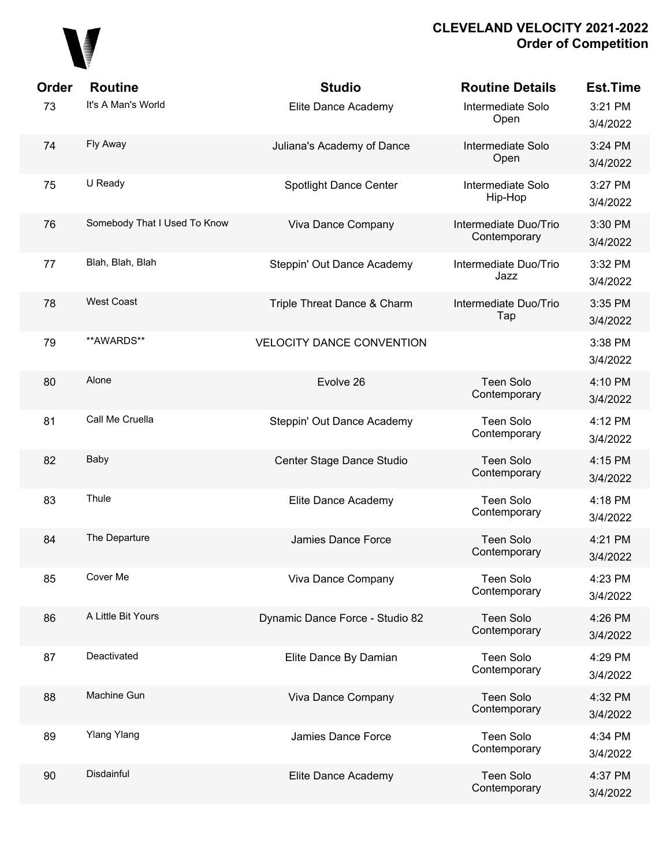

| Order | <b>Routine</b>               | <b>Studio</b>                    | <b>Routine Details</b>                | <b>Est.Time</b>     |
|-------|------------------------------|----------------------------------|---------------------------------------|---------------------|
| 73    | It's A Man's World           | Elite Dance Academy              | Intermediate Solo<br>Open             | 3:21 PM<br>3/4/2022 |
| 74    | Fly Away                     | Juliana's Academy of Dance       | Intermediate Solo<br>Open             | 3:24 PM<br>3/4/2022 |
| 75    | U Ready                      | <b>Spotlight Dance Center</b>    | Intermediate Solo<br>Hip-Hop          | 3:27 PM<br>3/4/2022 |
| 76    | Somebody That I Used To Know | Viva Dance Company               | Intermediate Duo/Trio<br>Contemporary | 3:30 PM<br>3/4/2022 |
| 77    | Blah, Blah, Blah             | Steppin' Out Dance Academy       | Intermediate Duo/Trio<br>Jazz         | 3:32 PM<br>3/4/2022 |
| 78    | <b>West Coast</b>            | Triple Threat Dance & Charm      | Intermediate Duo/Trio<br>Tap          | 3:35 PM<br>3/4/2022 |
| 79    | **AWARDS**                   | <b>VELOCITY DANCE CONVENTION</b> |                                       | 3:38 PM<br>3/4/2022 |
| 80    | Alone                        | Evolve 26                        | <b>Teen Solo</b><br>Contemporary      | 4:10 PM<br>3/4/2022 |
| 81    | Call Me Cruella              | Steppin' Out Dance Academy       | <b>Teen Solo</b><br>Contemporary      | 4:12 PM<br>3/4/2022 |
| 82    | Baby                         | Center Stage Dance Studio        | Teen Solo<br>Contemporary             | 4:15 PM<br>3/4/2022 |
| 83    | Thule                        | Elite Dance Academy              | <b>Teen Solo</b><br>Contemporary      | 4:18 PM<br>3/4/2022 |
| 84    | The Departure                | Jamies Dance Force               | <b>Teen Solo</b><br>Contemporary      | 4:21 PM<br>3/4/2022 |
| 85    | Cover Me                     | Viva Dance Company               | <b>Teen Solo</b><br>Contemporary      | 4:23 PM<br>3/4/2022 |
| 86    | A Little Bit Yours           | Dynamic Dance Force - Studio 82  | <b>Teen Solo</b><br>Contemporary      | 4:26 PM<br>3/4/2022 |
| 87    | Deactivated                  | Elite Dance By Damian            | <b>Teen Solo</b><br>Contemporary      | 4:29 PM<br>3/4/2022 |
| 88    | Machine Gun                  | Viva Dance Company               | <b>Teen Solo</b><br>Contemporary      | 4:32 PM<br>3/4/2022 |
| 89    | <b>Ylang Ylang</b>           | Jamies Dance Force               | <b>Teen Solo</b><br>Contemporary      | 4:34 PM<br>3/4/2022 |
| 90    | Disdainful                   | Elite Dance Academy              | <b>Teen Solo</b><br>Contemporary      | 4:37 PM<br>3/4/2022 |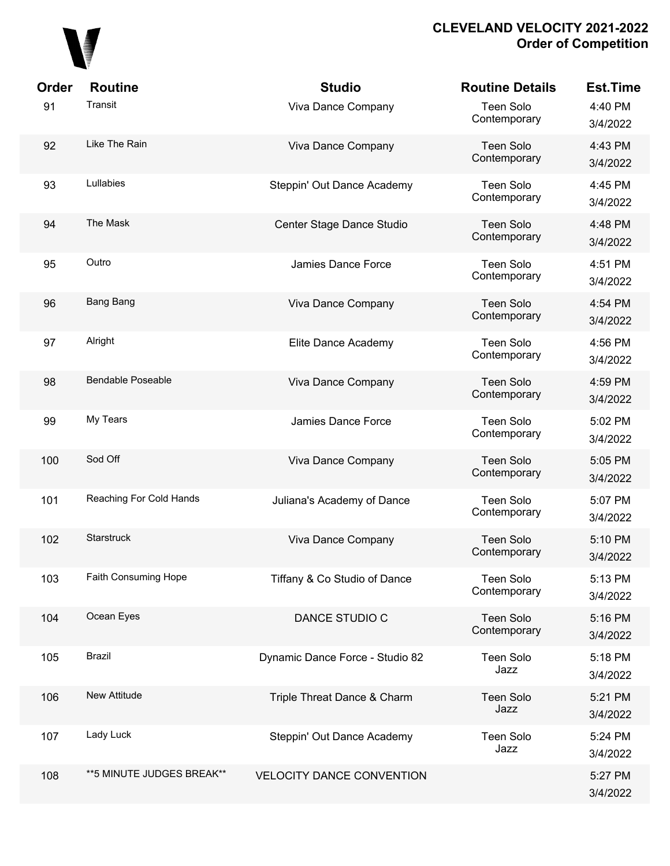

| Order | <b>Routine</b>            | <b>Studio</b>                    | <b>Routine Details</b>           | <b>Est.Time</b>     |
|-------|---------------------------|----------------------------------|----------------------------------|---------------------|
| 91    | Transit                   | Viva Dance Company               | Teen Solo<br>Contemporary        | 4:40 PM<br>3/4/2022 |
| 92    | Like The Rain             | Viva Dance Company               | <b>Teen Solo</b><br>Contemporary | 4:43 PM<br>3/4/2022 |
| 93    | Lullabies                 | Steppin' Out Dance Academy       | Teen Solo<br>Contemporary        | 4:45 PM<br>3/4/2022 |
| 94    | The Mask                  | Center Stage Dance Studio        | Teen Solo<br>Contemporary        | 4:48 PM<br>3/4/2022 |
| 95    | Outro                     | Jamies Dance Force               | Teen Solo<br>Contemporary        | 4:51 PM<br>3/4/2022 |
| 96    | Bang Bang                 | Viva Dance Company               | Teen Solo<br>Contemporary        | 4:54 PM<br>3/4/2022 |
| 97    | Alright                   | Elite Dance Academy              | Teen Solo<br>Contemporary        | 4:56 PM<br>3/4/2022 |
| 98    | <b>Bendable Poseable</b>  | Viva Dance Company               | <b>Teen Solo</b><br>Contemporary | 4:59 PM<br>3/4/2022 |
| 99    | My Tears                  | Jamies Dance Force               | Teen Solo<br>Contemporary        | 5:02 PM<br>3/4/2022 |
| 100   | Sod Off                   | Viva Dance Company               | Teen Solo<br>Contemporary        | 5:05 PM<br>3/4/2022 |
| 101   | Reaching For Cold Hands   | Juliana's Academy of Dance       | Teen Solo<br>Contemporary        | 5:07 PM<br>3/4/2022 |
| 102   | Starstruck                | Viva Dance Company               | <b>Teen Solo</b><br>Contemporary | 5:10 PM<br>3/4/2022 |
| 103   | Faith Consuming Hope      | Tiffany & Co Studio of Dance     | <b>Teen Solo</b><br>Contemporary | 5:13 PM<br>3/4/2022 |
| 104   | Ocean Eyes                | DANCE STUDIO C                   | <b>Teen Solo</b><br>Contemporary | 5:16 PM<br>3/4/2022 |
| 105   | <b>Brazil</b>             | Dynamic Dance Force - Studio 82  | Teen Solo<br>Jazz                | 5:18 PM<br>3/4/2022 |
| 106   | New Attitude              | Triple Threat Dance & Charm      | Teen Solo<br>Jazz                | 5:21 PM<br>3/4/2022 |
| 107   | Lady Luck                 | Steppin' Out Dance Academy       | Teen Solo<br>Jazz                | 5:24 PM<br>3/4/2022 |
| 108   | **5 MINUTE JUDGES BREAK** | <b>VELOCITY DANCE CONVENTION</b> |                                  | 5:27 PM<br>3/4/2022 |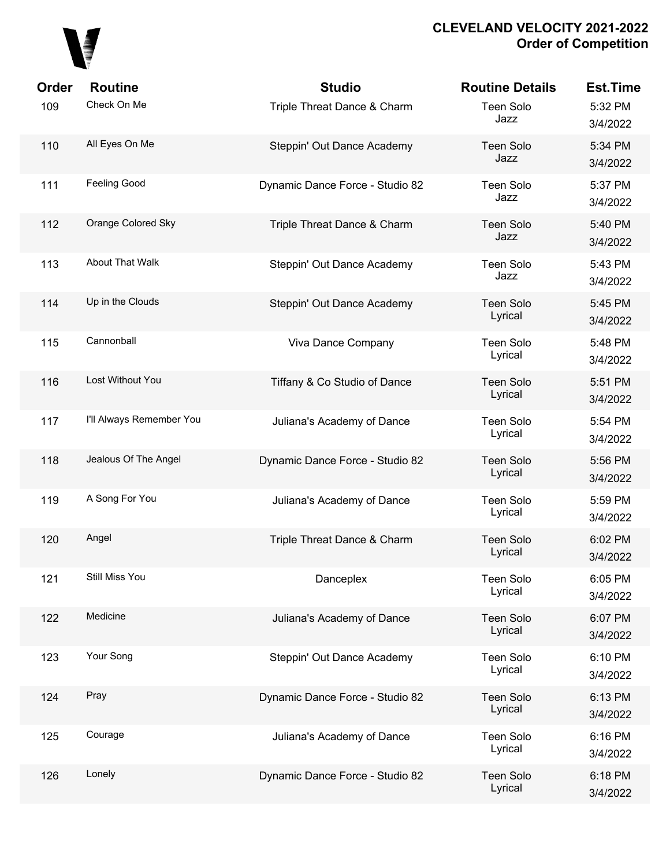

| Order | <b>Routine</b>           | <b>Studio</b>                   | <b>Routine Details</b>      | <b>Est.Time</b>     |
|-------|--------------------------|---------------------------------|-----------------------------|---------------------|
| 109   | Check On Me              | Triple Threat Dance & Charm     | Teen Solo<br>Jazz           | 5:32 PM<br>3/4/2022 |
| 110   | All Eyes On Me           | Steppin' Out Dance Academy      | <b>Teen Solo</b><br>Jazz    | 5:34 PM<br>3/4/2022 |
| 111   | Feeling Good             | Dynamic Dance Force - Studio 82 | Teen Solo<br>Jazz           | 5:37 PM<br>3/4/2022 |
| 112   | Orange Colored Sky       | Triple Threat Dance & Charm     | <b>Teen Solo</b><br>Jazz    | 5:40 PM<br>3/4/2022 |
| 113   | <b>About That Walk</b>   | Steppin' Out Dance Academy      | Teen Solo<br>Jazz           | 5:43 PM<br>3/4/2022 |
| 114   | Up in the Clouds         | Steppin' Out Dance Academy      | <b>Teen Solo</b><br>Lyrical | 5:45 PM<br>3/4/2022 |
| 115   | Cannonball               | Viva Dance Company              | Teen Solo<br>Lyrical        | 5:48 PM<br>3/4/2022 |
| 116   | Lost Without You         | Tiffany & Co Studio of Dance    | <b>Teen Solo</b><br>Lyrical | 5:51 PM<br>3/4/2022 |
| 117   | I'll Always Remember You | Juliana's Academy of Dance      | Teen Solo<br>Lyrical        | 5:54 PM<br>3/4/2022 |
| 118   | Jealous Of The Angel     | Dynamic Dance Force - Studio 82 | <b>Teen Solo</b><br>Lyrical | 5:56 PM<br>3/4/2022 |
| 119   | A Song For You           | Juliana's Academy of Dance      | Teen Solo<br>Lyrical        | 5:59 PM<br>3/4/2022 |
| 120   | Angel                    | Triple Threat Dance & Charm     | <b>Teen Solo</b><br>Lyrical | 6:02 PM<br>3/4/2022 |
| 121   | Still Miss You           | Danceplex                       | Teen Solo<br>Lyrical        | 6:05 PM<br>3/4/2022 |
| 122   | Medicine                 | Juliana's Academy of Dance      | Teen Solo<br>Lyrical        | 6:07 PM<br>3/4/2022 |
| 123   | Your Song                | Steppin' Out Dance Academy      | Teen Solo<br>Lyrical        | 6:10 PM<br>3/4/2022 |
| 124   | Pray                     | Dynamic Dance Force - Studio 82 | <b>Teen Solo</b><br>Lyrical | 6:13 PM<br>3/4/2022 |
| 125   | Courage                  | Juliana's Academy of Dance      | Teen Solo<br>Lyrical        | 6:16 PM<br>3/4/2022 |
| 126   | Lonely                   | Dynamic Dance Force - Studio 82 | Teen Solo<br>Lyrical        | 6:18 PM<br>3/4/2022 |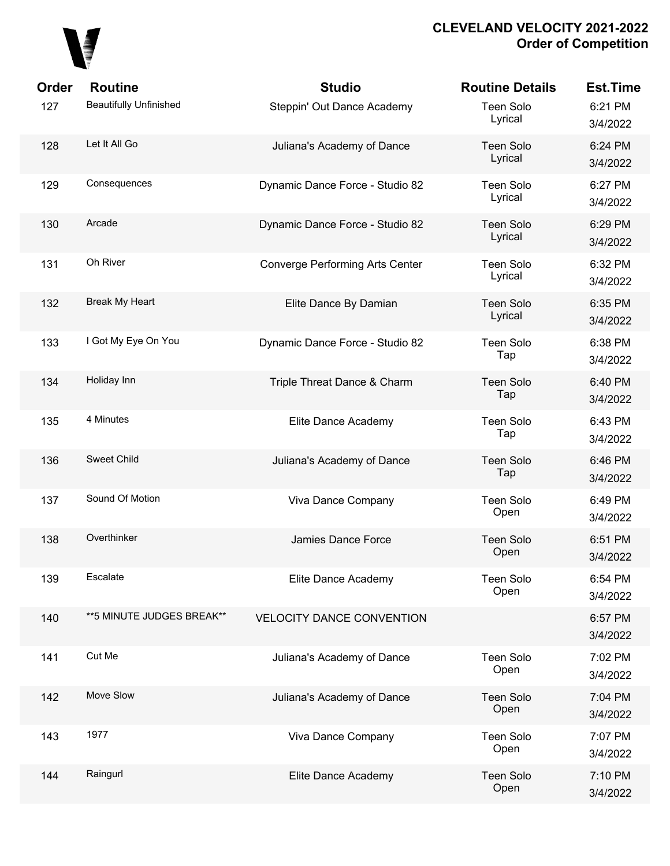

| <b>Order</b> | <b>Routine</b>                | <b>Studio</b>                          | <b>Routine Details</b>      | <b>Est.Time</b>     |
|--------------|-------------------------------|----------------------------------------|-----------------------------|---------------------|
| 127          | <b>Beautifully Unfinished</b> | Steppin' Out Dance Academy             | <b>Teen Solo</b><br>Lyrical | 6:21 PM<br>3/4/2022 |
| 128          | Let It All Go                 | Juliana's Academy of Dance             | <b>Teen Solo</b><br>Lyrical | 6:24 PM<br>3/4/2022 |
| 129          | Consequences                  | Dynamic Dance Force - Studio 82        | <b>Teen Solo</b><br>Lyrical | 6:27 PM<br>3/4/2022 |
| 130          | Arcade                        | Dynamic Dance Force - Studio 82        | <b>Teen Solo</b><br>Lyrical | 6:29 PM<br>3/4/2022 |
| 131          | Oh River                      | <b>Converge Performing Arts Center</b> | <b>Teen Solo</b><br>Lyrical | 6:32 PM<br>3/4/2022 |
| 132          | Break My Heart                | Elite Dance By Damian                  | <b>Teen Solo</b><br>Lyrical | 6:35 PM<br>3/4/2022 |
| 133          | I Got My Eye On You           | Dynamic Dance Force - Studio 82        | <b>Teen Solo</b><br>Tap     | 6:38 PM<br>3/4/2022 |
| 134          | Holiday Inn                   | Triple Threat Dance & Charm            | <b>Teen Solo</b><br>Tap     | 6:40 PM<br>3/4/2022 |
| 135          | 4 Minutes                     | Elite Dance Academy                    | <b>Teen Solo</b><br>Tap     | 6:43 PM<br>3/4/2022 |
| 136          | <b>Sweet Child</b>            | Juliana's Academy of Dance             | <b>Teen Solo</b><br>Tap     | 6:46 PM<br>3/4/2022 |
| 137          | Sound Of Motion               | Viva Dance Company                     | <b>Teen Solo</b><br>Open    | 6:49 PM<br>3/4/2022 |
| 138          | Overthinker                   | Jamies Dance Force                     | <b>Teen Solo</b><br>Open    | 6:51 PM<br>3/4/2022 |
| 139          | Escalate                      | Elite Dance Academy                    | <b>Teen Solo</b><br>Open    | 6:54 PM<br>3/4/2022 |
| 140          | ** 5 MINUTE JUDGES BREAK**    | <b>VELOCITY DANCE CONVENTION</b>       |                             | 6:57 PM<br>3/4/2022 |
| 141          | Cut Me                        | Juliana's Academy of Dance             | <b>Teen Solo</b><br>Open    | 7:02 PM<br>3/4/2022 |
| 142          | Move Slow                     | Juliana's Academy of Dance             | <b>Teen Solo</b><br>Open    | 7:04 PM<br>3/4/2022 |
| 143          | 1977                          | Viva Dance Company                     | <b>Teen Solo</b><br>Open    | 7:07 PM<br>3/4/2022 |
| 144          | Raingurl                      | Elite Dance Academy                    | <b>Teen Solo</b><br>Open    | 7:10 PM<br>3/4/2022 |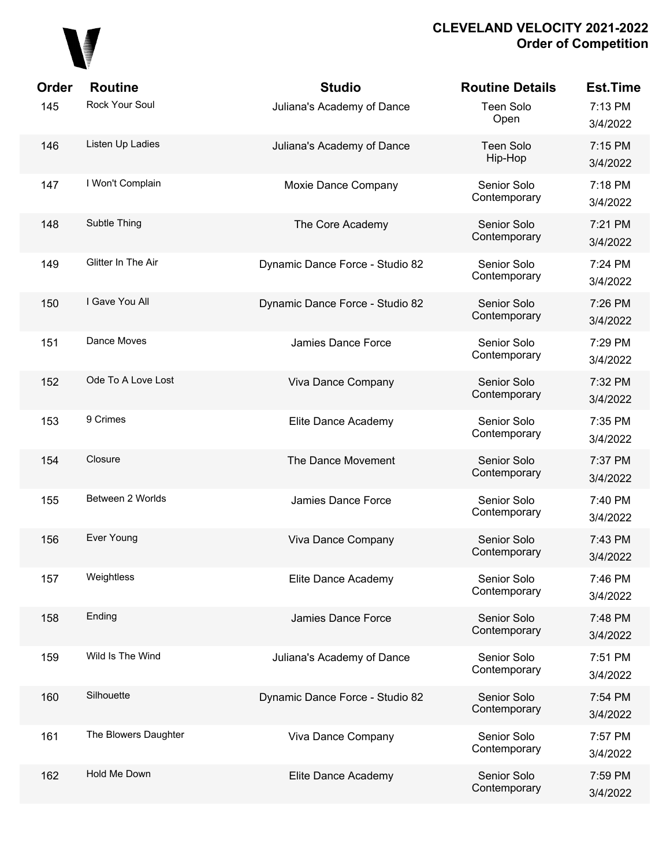# 

| <b>Order</b> | <b>Routine</b>       | <b>Studio</b>                   | <b>Routine Details</b>      | <b>Est.Time</b>     |
|--------------|----------------------|---------------------------------|-----------------------------|---------------------|
| 145          | Rock Your Soul       | Juliana's Academy of Dance      | <b>Teen Solo</b><br>Open    | 7:13 PM<br>3/4/2022 |
| 146          | Listen Up Ladies     | Juliana's Academy of Dance      | <b>Teen Solo</b><br>Hip-Hop | 7:15 PM<br>3/4/2022 |
| 147          | I Won't Complain     | Moxie Dance Company             | Senior Solo<br>Contemporary | 7:18 PM<br>3/4/2022 |
| 148          | Subtle Thing         | The Core Academy                | Senior Solo<br>Contemporary | 7:21 PM<br>3/4/2022 |
| 149          | Glitter In The Air   | Dynamic Dance Force - Studio 82 | Senior Solo<br>Contemporary | 7:24 PM<br>3/4/2022 |
| 150          | I Gave You All       | Dynamic Dance Force - Studio 82 | Senior Solo<br>Contemporary | 7:26 PM<br>3/4/2022 |
| 151          | Dance Moves          | Jamies Dance Force              | Senior Solo<br>Contemporary | 7:29 PM<br>3/4/2022 |
| 152          | Ode To A Love Lost   | Viva Dance Company              | Senior Solo<br>Contemporary | 7:32 PM<br>3/4/2022 |
| 153          | 9 Crimes             | Elite Dance Academy             | Senior Solo<br>Contemporary | 7:35 PM<br>3/4/2022 |
| 154          | Closure              | The Dance Movement              | Senior Solo<br>Contemporary | 7:37 PM<br>3/4/2022 |
| 155          | Between 2 Worlds     | Jamies Dance Force              | Senior Solo<br>Contemporary | 7:40 PM<br>3/4/2022 |
| 156          | Ever Young           | Viva Dance Company              | Senior Solo<br>Contemporary | 7:43 PM<br>3/4/2022 |
| 157          | Weightless           | Elite Dance Academy             | Senior Solo<br>Contemporary | 7:46 PM<br>3/4/2022 |
| 158          | Ending               | Jamies Dance Force              | Senior Solo<br>Contemporary | 7:48 PM<br>3/4/2022 |
| 159          | Wild Is The Wind     | Juliana's Academy of Dance      | Senior Solo<br>Contemporary | 7:51 PM<br>3/4/2022 |
| 160          | Silhouette           | Dynamic Dance Force - Studio 82 | Senior Solo<br>Contemporary | 7:54 PM<br>3/4/2022 |
| 161          | The Blowers Daughter | Viva Dance Company              | Senior Solo<br>Contemporary | 7:57 PM<br>3/4/2022 |
| 162          | Hold Me Down         | Elite Dance Academy             | Senior Solo<br>Contemporary | 7:59 PM<br>3/4/2022 |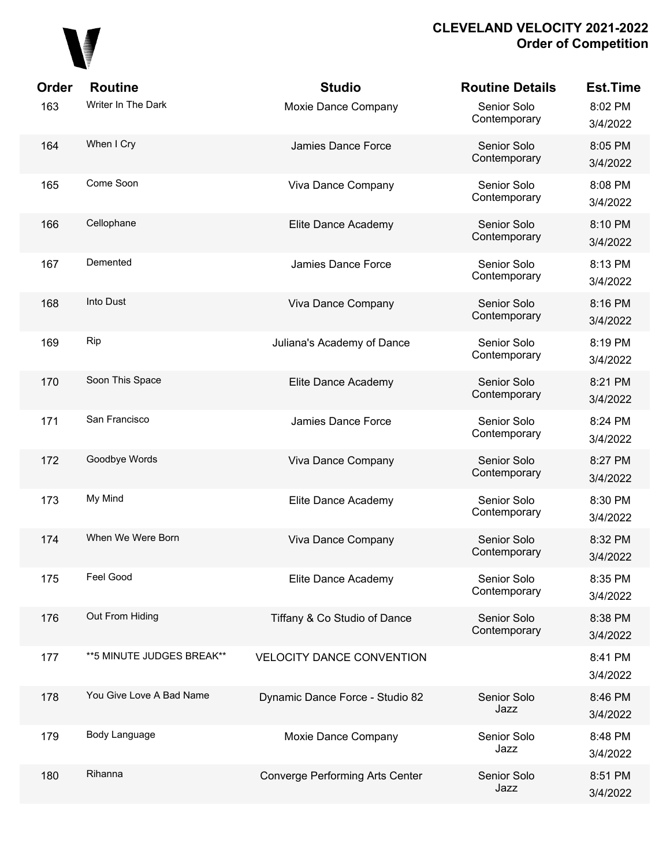

| Order | <b>Routine</b>            | <b>Studio</b>                          | <b>Routine Details</b>      | <b>Est.Time</b>     |
|-------|---------------------------|----------------------------------------|-----------------------------|---------------------|
| 163   | Writer In The Dark        | Moxie Dance Company                    | Senior Solo<br>Contemporary | 8:02 PM<br>3/4/2022 |
| 164   | When I Cry                | Jamies Dance Force                     | Senior Solo<br>Contemporary | 8:05 PM<br>3/4/2022 |
| 165   | Come Soon                 | Viva Dance Company                     | Senior Solo<br>Contemporary | 8:08 PM<br>3/4/2022 |
| 166   | Cellophane                | Elite Dance Academy                    | Senior Solo<br>Contemporary | 8:10 PM<br>3/4/2022 |
| 167   | Demented                  | Jamies Dance Force                     | Senior Solo<br>Contemporary | 8:13 PM<br>3/4/2022 |
| 168   | Into Dust                 | Viva Dance Company                     | Senior Solo<br>Contemporary | 8:16 PM<br>3/4/2022 |
| 169   | Rip                       | Juliana's Academy of Dance             | Senior Solo<br>Contemporary | 8:19 PM<br>3/4/2022 |
| 170   | Soon This Space           | Elite Dance Academy                    | Senior Solo<br>Contemporary | 8:21 PM<br>3/4/2022 |
| 171   | San Francisco             | Jamies Dance Force                     | Senior Solo<br>Contemporary | 8:24 PM<br>3/4/2022 |
| 172   | Goodbye Words             | Viva Dance Company                     | Senior Solo<br>Contemporary | 8:27 PM<br>3/4/2022 |
| 173   | My Mind                   | Elite Dance Academy                    | Senior Solo<br>Contemporary | 8:30 PM<br>3/4/2022 |
| 174   | When We Were Born         | Viva Dance Company                     | Senior Solo<br>Contemporary | 8:32 PM<br>3/4/2022 |
| 175   | Feel Good                 | Elite Dance Academy                    | Senior Solo<br>Contemporary | 8:35 PM<br>3/4/2022 |
| 176   | Out From Hiding           | Tiffany & Co Studio of Dance           | Senior Solo<br>Contemporary | 8:38 PM<br>3/4/2022 |
| 177   | **5 MINUTE JUDGES BREAK** | <b>VELOCITY DANCE CONVENTION</b>       |                             | 8:41 PM<br>3/4/2022 |
| 178   | You Give Love A Bad Name  | Dynamic Dance Force - Studio 82        | Senior Solo<br>Jazz         | 8:46 PM<br>3/4/2022 |
| 179   | Body Language             | Moxie Dance Company                    | Senior Solo<br>Jazz         | 8:48 PM<br>3/4/2022 |
| 180   | Rihanna                   | <b>Converge Performing Arts Center</b> | Senior Solo<br>Jazz         | 8:51 PM<br>3/4/2022 |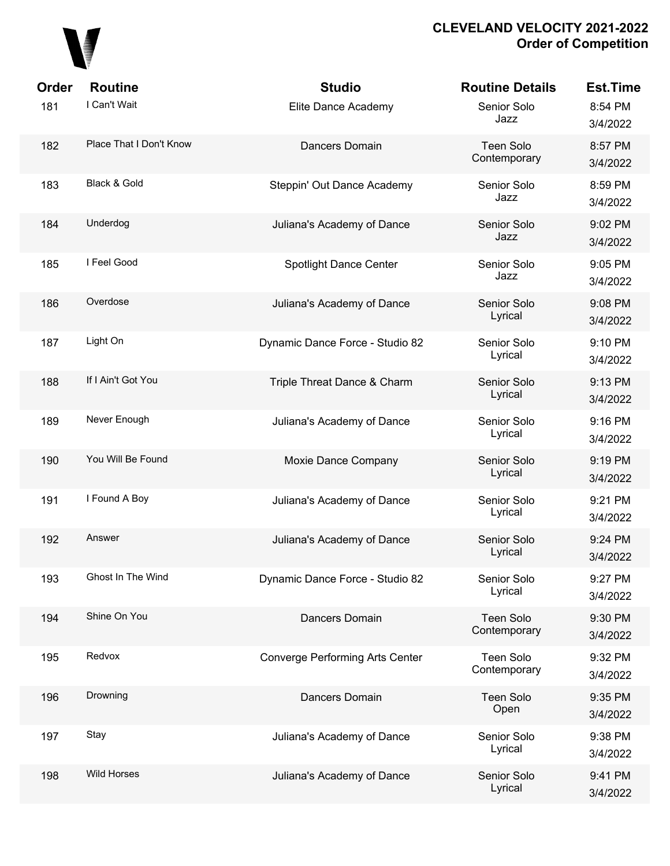

| <b>Order</b> | <b>Routine</b>          | <b>Studio</b>                          | <b>Routine Details</b>    | <b>Est.Time</b>     |
|--------------|-------------------------|----------------------------------------|---------------------------|---------------------|
| 181          | I Can't Wait            | Elite Dance Academy                    | Senior Solo<br>Jazz       | 8:54 PM<br>3/4/2022 |
| 182          | Place That I Don't Know | Dancers Domain                         | Teen Solo<br>Contemporary | 8:57 PM<br>3/4/2022 |
| 183          | Black & Gold            | Steppin' Out Dance Academy             | Senior Solo<br>Jazz       | 8:59 PM<br>3/4/2022 |
| 184          | Underdog                | Juliana's Academy of Dance             | Senior Solo<br>Jazz       | 9:02 PM<br>3/4/2022 |
| 185          | I Feel Good             | <b>Spotlight Dance Center</b>          | Senior Solo<br>Jazz       | 9:05 PM<br>3/4/2022 |
| 186          | Overdose                | Juliana's Academy of Dance             | Senior Solo<br>Lyrical    | 9:08 PM<br>3/4/2022 |
| 187          | Light On                | Dynamic Dance Force - Studio 82        | Senior Solo<br>Lyrical    | 9:10 PM<br>3/4/2022 |
| 188          | If I Ain't Got You      | Triple Threat Dance & Charm            | Senior Solo<br>Lyrical    | 9:13 PM<br>3/4/2022 |
| 189          | Never Enough            | Juliana's Academy of Dance             | Senior Solo<br>Lyrical    | 9:16 PM<br>3/4/2022 |
| 190          | You Will Be Found       | Moxie Dance Company                    | Senior Solo<br>Lyrical    | 9:19 PM<br>3/4/2022 |
| 191          | I Found A Boy           | Juliana's Academy of Dance             | Senior Solo<br>Lyrical    | 9:21 PM<br>3/4/2022 |
| 192          | Answer                  | Juliana's Academy of Dance             | Senior Solo<br>Lyrical    | 9:24 PM<br>3/4/2022 |
| 193          | Ghost In The Wind       | Dynamic Dance Force - Studio 82        | Senior Solo<br>Lyrical    | 9:27 PM<br>3/4/2022 |
| 194          | Shine On You            | Dancers Domain                         | Teen Solo<br>Contemporary | 9:30 PM<br>3/4/2022 |
| 195          | Redvox                  | <b>Converge Performing Arts Center</b> | Teen Solo<br>Contemporary | 9:32 PM<br>3/4/2022 |
| 196          | Drowning                | Dancers Domain                         | Teen Solo<br>Open         | 9:35 PM<br>3/4/2022 |
| 197          | Stay                    | Juliana's Academy of Dance             | Senior Solo<br>Lyrical    | 9:38 PM<br>3/4/2022 |
| 198          | <b>Wild Horses</b>      | Juliana's Academy of Dance             | Senior Solo<br>Lyrical    | 9:41 PM<br>3/4/2022 |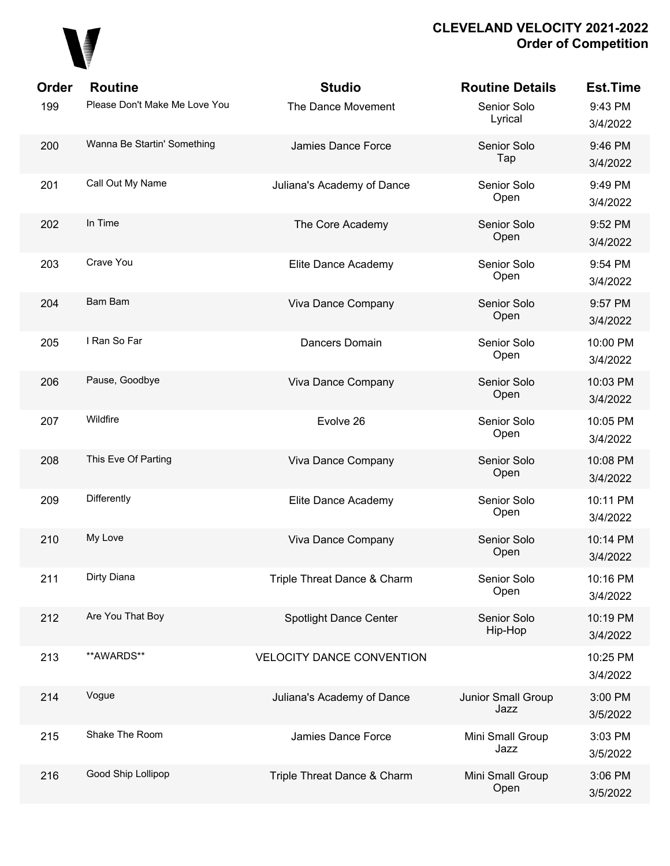

| <b>Order</b> | <b>Routine</b>                | <b>Studio</b>                    | <b>Routine Details</b>     | <b>Est.Time</b>      |
|--------------|-------------------------------|----------------------------------|----------------------------|----------------------|
| 199          | Please Don't Make Me Love You | The Dance Movement               | Senior Solo<br>Lyrical     | 9:43 PM<br>3/4/2022  |
| 200          | Wanna Be Startin' Something   | Jamies Dance Force               | Senior Solo<br>Tap         | 9:46 PM<br>3/4/2022  |
| 201          | Call Out My Name              | Juliana's Academy of Dance       | Senior Solo<br>Open        | 9:49 PM<br>3/4/2022  |
| 202          | In Time                       | The Core Academy                 | Senior Solo<br>Open        | 9:52 PM<br>3/4/2022  |
| 203          | Crave You                     | Elite Dance Academy              | Senior Solo<br>Open        | 9:54 PM<br>3/4/2022  |
| 204          | <b>Bam Bam</b>                | Viva Dance Company               | Senior Solo<br>Open        | 9:57 PM<br>3/4/2022  |
| 205          | I Ran So Far                  | Dancers Domain                   | Senior Solo<br>Open        | 10:00 PM<br>3/4/2022 |
| 206          | Pause, Goodbye                | Viva Dance Company               | Senior Solo<br>Open        | 10:03 PM<br>3/4/2022 |
| 207          | Wildfire                      | Evolve 26                        | Senior Solo<br>Open        | 10:05 PM<br>3/4/2022 |
| 208          | This Eve Of Parting           | Viva Dance Company               | Senior Solo<br>Open        | 10:08 PM<br>3/4/2022 |
| 209          | Differently                   | Elite Dance Academy              | Senior Solo<br>Open        | 10:11 PM<br>3/4/2022 |
| 210          | My Love                       | Viva Dance Company               | Senior Solo<br>Open        | 10:14 PM<br>3/4/2022 |
| 211          | Dirty Diana                   | Triple Threat Dance & Charm      | Senior Solo<br>Open        | 10:16 PM<br>3/4/2022 |
| 212          | Are You That Boy              | Spotlight Dance Center           | Senior Solo<br>Hip-Hop     | 10:19 PM<br>3/4/2022 |
| 213          | **AWARDS**                    | <b>VELOCITY DANCE CONVENTION</b> |                            | 10:25 PM<br>3/4/2022 |
| 214          | Vogue                         | Juliana's Academy of Dance       | Junior Small Group<br>Jazz | 3:00 PM<br>3/5/2022  |
| 215          | Shake The Room                | Jamies Dance Force               | Mini Small Group<br>Jazz   | 3:03 PM<br>3/5/2022  |
| 216          | Good Ship Lollipop            | Triple Threat Dance & Charm      | Mini Small Group<br>Open   | 3:06 PM<br>3/5/2022  |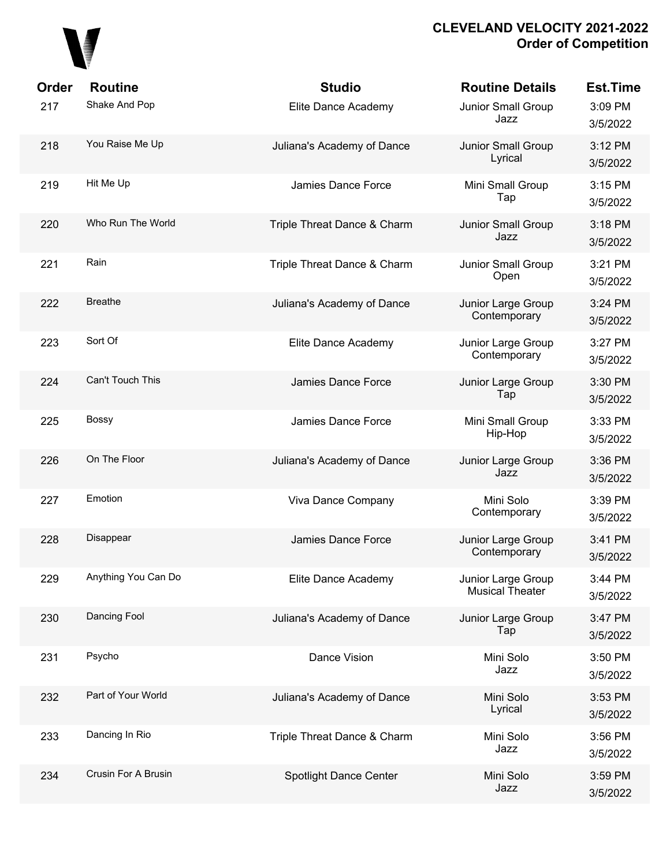

| Order<br>217 | <b>Routine</b><br>Shake And Pop | <b>Studio</b><br>Elite Dance Academy | <b>Routine Details</b><br>Junior Small Group<br>Jazz | <b>Est.Time</b><br>3:09 PM<br>3/5/2022 |
|--------------|---------------------------------|--------------------------------------|------------------------------------------------------|----------------------------------------|
| 218          | You Raise Me Up                 | Juliana's Academy of Dance           | <b>Junior Small Group</b><br>Lyrical                 | 3:12 PM<br>3/5/2022                    |
| 219          | Hit Me Up                       | Jamies Dance Force                   | Mini Small Group<br>Tap                              | 3:15 PM<br>3/5/2022                    |
| 220          | Who Run The World               | Triple Threat Dance & Charm          | Junior Small Group<br>Jazz                           | 3:18 PM<br>3/5/2022                    |
| 221          | Rain                            | Triple Threat Dance & Charm          | Junior Small Group<br>Open                           | 3:21 PM<br>3/5/2022                    |
| 222          | <b>Breathe</b>                  | Juliana's Academy of Dance           | Junior Large Group<br>Contemporary                   | 3:24 PM<br>3/5/2022                    |
| 223          | Sort Of                         | Elite Dance Academy                  | Junior Large Group<br>Contemporary                   | 3:27 PM<br>3/5/2022                    |
| 224          | Can't Touch This                | Jamies Dance Force                   | Junior Large Group<br>Tap                            | 3:30 PM<br>3/5/2022                    |
| 225          | <b>Bossy</b>                    | Jamies Dance Force                   | Mini Small Group<br>Hip-Hop                          | 3:33 PM<br>3/5/2022                    |
| 226          | On The Floor                    | Juliana's Academy of Dance           | Junior Large Group<br>Jazz                           | 3:36 PM<br>3/5/2022                    |
| 227          | Emotion                         | Viva Dance Company                   | Mini Solo<br>Contemporary                            | 3:39 PM<br>3/5/2022                    |
| 228          | Disappear                       | Jamies Dance Force                   | Junior Large Group<br>Contemporary                   | 3:41 PM<br>3/5/2022                    |
| 229          | Anything You Can Do             | Elite Dance Academy                  | Junior Large Group<br><b>Musical Theater</b>         | 3:44 PM<br>3/5/2022                    |
| 230          | Dancing Fool                    | Juliana's Academy of Dance           | Junior Large Group<br>Tap                            | 3:47 PM<br>3/5/2022                    |
| 231          | Psycho                          | Dance Vision                         | Mini Solo<br>Jazz                                    | 3:50 PM<br>3/5/2022                    |
| 232          | Part of Your World              | Juliana's Academy of Dance           | Mini Solo<br>Lyrical                                 | 3:53 PM<br>3/5/2022                    |
| 233          | Dancing In Rio                  | Triple Threat Dance & Charm          | Mini Solo<br>Jazz                                    | 3:56 PM<br>3/5/2022                    |
| 234          | Crusin For A Brusin             | Spotlight Dance Center               | Mini Solo<br>Jazz                                    | 3:59 PM<br>3/5/2022                    |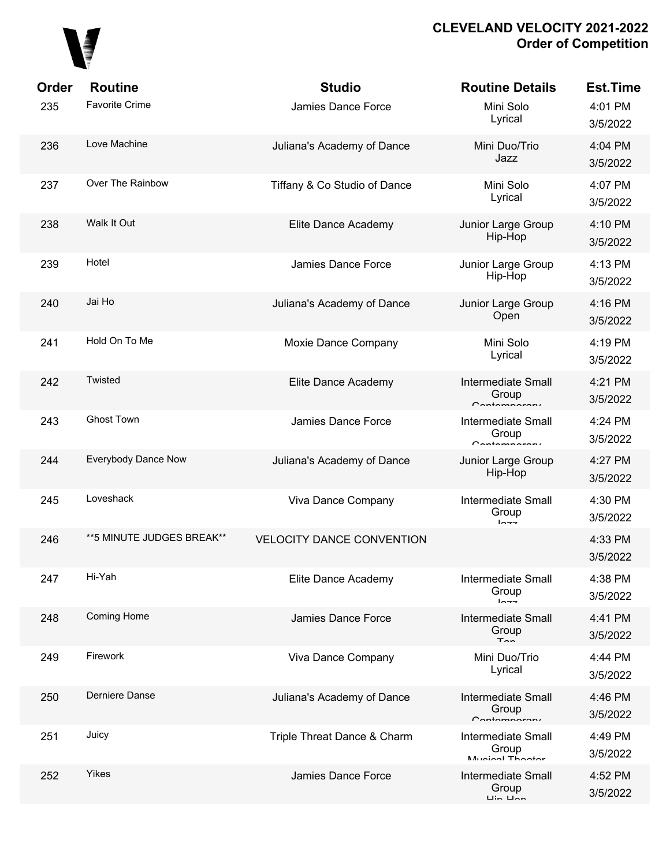

| Order | <b>Routine</b>             | <b>Studio</b>                    | <b>Routine Details</b>                                                 | <b>Est.Time</b>     |
|-------|----------------------------|----------------------------------|------------------------------------------------------------------------|---------------------|
| 235   | <b>Favorite Crime</b>      | Jamies Dance Force               | Mini Solo<br>Lyrical                                                   | 4:01 PM<br>3/5/2022 |
| 236   | Love Machine               | Juliana's Academy of Dance       | Mini Duo/Trio<br>Jazz                                                  | 4:04 PM<br>3/5/2022 |
| 237   | Over The Rainbow           | Tiffany & Co Studio of Dance     | Mini Solo<br>Lyrical                                                   | 4:07 PM<br>3/5/2022 |
| 238   | Walk It Out                | Elite Dance Academy              | Junior Large Group<br>Hip-Hop                                          | 4:10 PM<br>3/5/2022 |
| 239   | Hotel                      | Jamies Dance Force               | Junior Large Group<br>Hip-Hop                                          | 4:13 PM<br>3/5/2022 |
| 240   | Jai Ho                     | Juliana's Academy of Dance       | Junior Large Group<br>Open                                             | 4:16 PM<br>3/5/2022 |
| 241   | Hold On To Me              | Moxie Dance Company              | Mini Solo<br>Lyrical                                                   | 4:19 PM<br>3/5/2022 |
| 242   | Twisted                    | Elite Dance Academy              | <b>Intermediate Small</b><br>Group<br>$C$ ontomnaron $\theta$          | 4:21 PM<br>3/5/2022 |
| 243   | <b>Ghost Town</b>          | Jamies Dance Force               | <b>Intermediate Small</b><br>Group<br>$C$ ontomnaron $\epsilon$        | 4:24 PM<br>3/5/2022 |
| 244   | Everybody Dance Now        | Juliana's Academy of Dance       | Junior Large Group<br>Hip-Hop                                          | 4:27 PM<br>3/5/2022 |
| 245   | Loveshack                  | Viva Dance Company               | <b>Intermediate Small</b><br>Group<br>$ln - -$                         | 4:30 PM<br>3/5/2022 |
| 246   | ** 5 MINUTE JUDGES BREAK** | <b>VELOCITY DANCE CONVENTION</b> |                                                                        | 4:33 PM<br>3/5/2022 |
| 247   | Hi-Yah                     | Elite Dance Academy              | Intermediate Small<br>Group<br>$ln -$                                  | 4:38 PM<br>3/5/2022 |
| 248   | <b>Coming Home</b>         | Jamies Dance Force               | <b>Intermediate Small</b><br>Group<br>$T_{\Omega}$                     | 4:41 PM<br>3/5/2022 |
| 249   | Firework                   | Viva Dance Company               | Mini Duo/Trio<br>Lyrical                                               | 4:44 PM<br>3/5/2022 |
| 250   | Derniere Danse             | Juliana's Academy of Dance       | Intermediate Small<br>Group<br>Contamparary                            | 4:46 PM<br>3/5/2022 |
| 251   | Juicy                      | Triple Threat Dance & Charm      | <b>Intermediate Small</b><br>Group<br>Munion Thootor                   | 4:49 PM<br>3/5/2022 |
| 252   | Yikes                      | Jamies Dance Force               | <b>Intermediate Small</b><br>Group<br>$\overline{L}$ in $\overline{L}$ | 4:52 PM<br>3/5/2022 |
|       |                            |                                  |                                                                        |                     |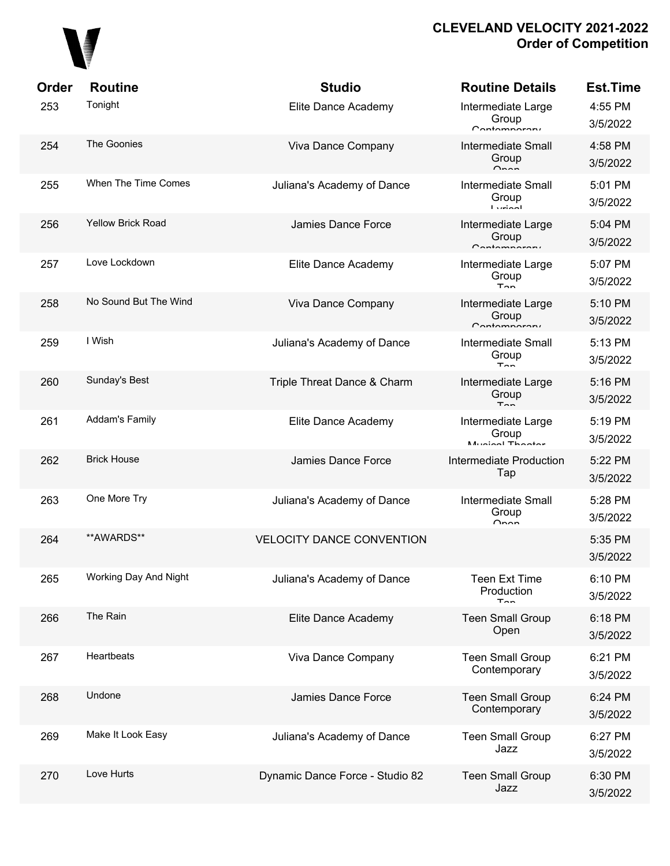

| Order | <b>Routine</b>           | <b>Studio</b>                    | <b>Routine Details</b>                             | <b>Est.Time</b>     |
|-------|--------------------------|----------------------------------|----------------------------------------------------|---------------------|
| 253   | Tonight                  | Elite Dance Academy              | Intermediate Large<br>Group<br>Contamparary        | 4:55 PM<br>3/5/2022 |
| 254   | The Goonies              | Viva Dance Company               | Intermediate Small<br>Group<br>O <sub>nnon</sub>   | 4:58 PM<br>3/5/2022 |
| 255   | When The Time Comes      | Juliana's Academy of Dance       | Intermediate Small<br>Group<br><b>Ludool</b>       | 5:01 PM<br>3/5/2022 |
| 256   | <b>Yellow Brick Road</b> | Jamies Dance Force               | Intermediate Large<br>Group<br>Contamparary        | 5:04 PM<br>3/5/2022 |
| 257   | Love Lockdown            | Elite Dance Academy              | Intermediate Large<br>Group<br>$T_{nn}$            | 5:07 PM<br>3/5/2022 |
| 258   | No Sound But The Wind    | Viva Dance Company               | Intermediate Large<br>Group<br>$C$ ontomporoni     | 5:10 PM<br>3/5/2022 |
| 259   | I Wish                   | Juliana's Academy of Dance       | <b>Intermediate Small</b><br>Group<br>$T_{nn}$     | 5:13 PM<br>3/5/2022 |
| 260   | Sunday's Best            | Triple Threat Dance & Charm      | Intermediate Large<br>Group<br>$T_{nn}$            | 5:16 PM<br>3/5/2022 |
| 261   | <b>Addam's Family</b>    | Elite Dance Academy              | Intermediate Large<br>Group<br>Munical Thootar     | 5:19 PM<br>3/5/2022 |
| 262   | <b>Brick House</b>       | Jamies Dance Force               | Intermediate Production<br>Tap                     | 5:22 PM<br>3/5/2022 |
| 263   | One More Try             | Juliana's Academy of Dance       | <b>Intermediate Small</b><br>Group<br>$\cap$ non   | 5:28 PM<br>3/5/2022 |
| 264   | **AWARDS**               | <b>VELOCITY DANCE CONVENTION</b> |                                                    | 5:35 PM<br>3/5/2022 |
| 265   | Working Day And Night    | Juliana's Academy of Dance       | <b>Teen Ext Time</b><br>Production<br>$T_{\cap n}$ | 6:10 PM<br>3/5/2022 |
| 266   | The Rain                 | Elite Dance Academy              | <b>Teen Small Group</b><br>Open                    | 6:18 PM<br>3/5/2022 |
| 267   | Heartbeats               | Viva Dance Company               | <b>Teen Small Group</b><br>Contemporary            | 6:21 PM<br>3/5/2022 |
| 268   | Undone                   | Jamies Dance Force               | <b>Teen Small Group</b><br>Contemporary            | 6:24 PM<br>3/5/2022 |
| 269   | Make It Look Easy        | Juliana's Academy of Dance       | <b>Teen Small Group</b><br>Jazz                    | 6:27 PM<br>3/5/2022 |
| 270   | Love Hurts               | Dynamic Dance Force - Studio 82  | <b>Teen Small Group</b><br>Jazz                    | 6:30 PM<br>3/5/2022 |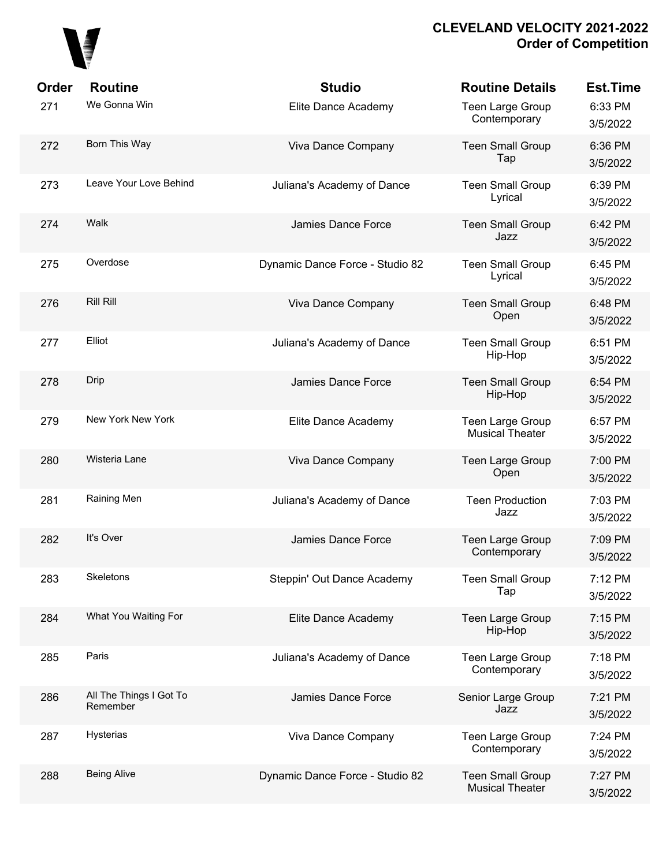

| Order | <b>Routine</b>                      | <b>Studio</b>                   | <b>Routine Details</b>                            | <b>Est.Time</b>     |
|-------|-------------------------------------|---------------------------------|---------------------------------------------------|---------------------|
| 271   | We Gonna Win                        | Elite Dance Academy             | Teen Large Group<br>Contemporary                  | 6:33 PM<br>3/5/2022 |
| 272   | Born This Way                       | Viva Dance Company              | <b>Teen Small Group</b><br>Tap                    | 6:36 PM<br>3/5/2022 |
| 273   | Leave Your Love Behind              | Juliana's Academy of Dance      | <b>Teen Small Group</b><br>Lyrical                | 6:39 PM<br>3/5/2022 |
| 274   | Walk                                | Jamies Dance Force              | <b>Teen Small Group</b><br>Jazz                   | 6:42 PM<br>3/5/2022 |
| 275   | Overdose                            | Dynamic Dance Force - Studio 82 | <b>Teen Small Group</b><br>Lyrical                | 6:45 PM<br>3/5/2022 |
| 276   | <b>Rill Rill</b>                    | Viva Dance Company              | <b>Teen Small Group</b><br>Open                   | 6:48 PM<br>3/5/2022 |
| 277   | Elliot                              | Juliana's Academy of Dance      | <b>Teen Small Group</b><br>Hip-Hop                | 6:51 PM<br>3/5/2022 |
| 278   | Drip                                | Jamies Dance Force              | <b>Teen Small Group</b><br>Hip-Hop                | 6:54 PM<br>3/5/2022 |
| 279   | New York New York                   | Elite Dance Academy             | Teen Large Group<br><b>Musical Theater</b>        | 6:57 PM<br>3/5/2022 |
| 280   | Wisteria Lane                       | Viva Dance Company              | Teen Large Group<br>Open                          | 7:00 PM<br>3/5/2022 |
| 281   | Raining Men                         | Juliana's Academy of Dance      | <b>Teen Production</b><br>Jazz                    | 7:03 PM<br>3/5/2022 |
| 282   | It's Over                           | Jamies Dance Force              | Teen Large Group<br>Contemporary                  | 7:09 PM<br>3/5/2022 |
| 283   | Skeletons                           | Steppin' Out Dance Academy      | <b>Teen Small Group</b><br>Tap                    | 7:12 PM<br>3/5/2022 |
| 284   | What You Waiting For                | Elite Dance Academy             | Teen Large Group<br>Hip-Hop                       | 7:15 PM<br>3/5/2022 |
| 285   | Paris                               | Juliana's Academy of Dance      | Teen Large Group<br>Contemporary                  | 7:18 PM<br>3/5/2022 |
| 286   | All The Things I Got To<br>Remember | Jamies Dance Force              | Senior Large Group<br>Jazz                        | 7:21 PM<br>3/5/2022 |
| 287   | Hysterias                           | Viva Dance Company              | Teen Large Group<br>Contemporary                  | 7:24 PM<br>3/5/2022 |
| 288   | <b>Being Alive</b>                  | Dynamic Dance Force - Studio 82 | <b>Teen Small Group</b><br><b>Musical Theater</b> | 7:27 PM<br>3/5/2022 |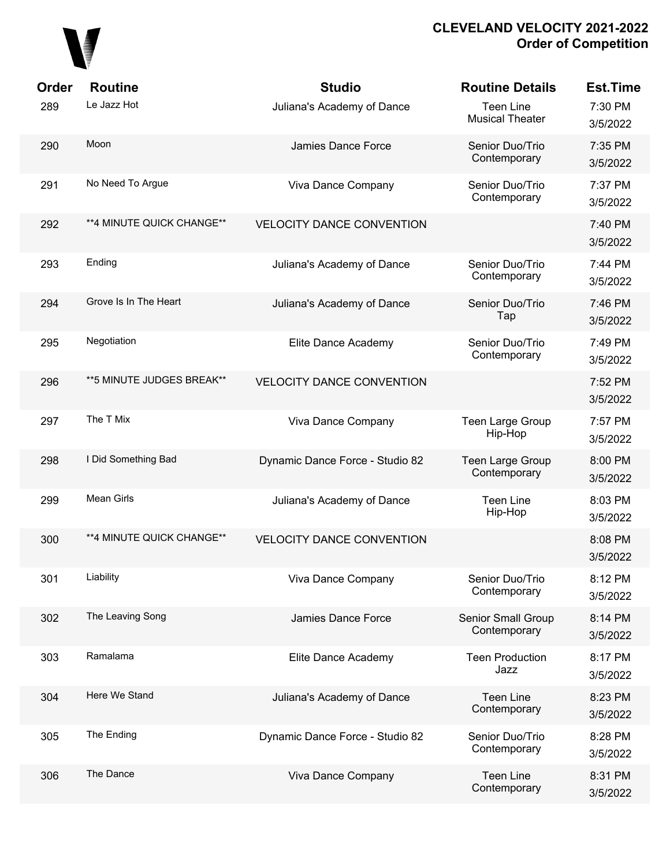

| Order | <b>Routine</b>             | <b>Studio</b>                    | <b>Routine Details</b>                     | <b>Est.Time</b>     |
|-------|----------------------------|----------------------------------|--------------------------------------------|---------------------|
| 289   | Le Jazz Hot                | Juliana's Academy of Dance       | <b>Teen Line</b><br><b>Musical Theater</b> | 7:30 PM<br>3/5/2022 |
| 290   | Moon                       | Jamies Dance Force               | Senior Duo/Trio<br>Contemporary            | 7:35 PM<br>3/5/2022 |
| 291   | No Need To Argue           | Viva Dance Company               | Senior Duo/Trio<br>Contemporary            | 7:37 PM<br>3/5/2022 |
| 292   | **4 MINUTE QUICK CHANGE**  | <b>VELOCITY DANCE CONVENTION</b> |                                            | 7:40 PM<br>3/5/2022 |
| 293   | Ending                     | Juliana's Academy of Dance       | Senior Duo/Trio<br>Contemporary            | 7:44 PM<br>3/5/2022 |
| 294   | Grove Is In The Heart      | Juliana's Academy of Dance       | Senior Duo/Trio<br>Tap                     | 7:46 PM<br>3/5/2022 |
| 295   | Negotiation                | Elite Dance Academy              | Senior Duo/Trio<br>Contemporary            | 7:49 PM<br>3/5/2022 |
| 296   | ** 5 MINUTE JUDGES BREAK** | <b>VELOCITY DANCE CONVENTION</b> |                                            | 7:52 PM<br>3/5/2022 |
| 297   | The T Mix                  | Viva Dance Company               | Teen Large Group<br>Hip-Hop                | 7:57 PM<br>3/5/2022 |
| 298   | I Did Something Bad        | Dynamic Dance Force - Studio 82  | Teen Large Group<br>Contemporary           | 8:00 PM<br>3/5/2022 |
| 299   | Mean Girls                 | Juliana's Academy of Dance       | <b>Teen Line</b><br>Hip-Hop                | 8:03 PM<br>3/5/2022 |
| 300   | **4 MINUTE QUICK CHANGE**  | <b>VELOCITY DANCE CONVENTION</b> |                                            | 8:08 PM<br>3/5/2022 |
| 301   | Liability                  | Viva Dance Company               | Senior Duo/Trio<br>Contemporary            | 8:12 PM<br>3/5/2022 |
| 302   | The Leaving Song           | Jamies Dance Force               | Senior Small Group<br>Contemporary         | 8:14 PM<br>3/5/2022 |
| 303   | Ramalama                   | Elite Dance Academy              | <b>Teen Production</b><br>Jazz             | 8:17 PM<br>3/5/2022 |
| 304   | Here We Stand              | Juliana's Academy of Dance       | <b>Teen Line</b><br>Contemporary           | 8:23 PM<br>3/5/2022 |
| 305   | The Ending                 | Dynamic Dance Force - Studio 82  | Senior Duo/Trio<br>Contemporary            | 8:28 PM<br>3/5/2022 |
| 306   | The Dance                  | Viva Dance Company               | <b>Teen Line</b><br>Contemporary           | 8:31 PM<br>3/5/2022 |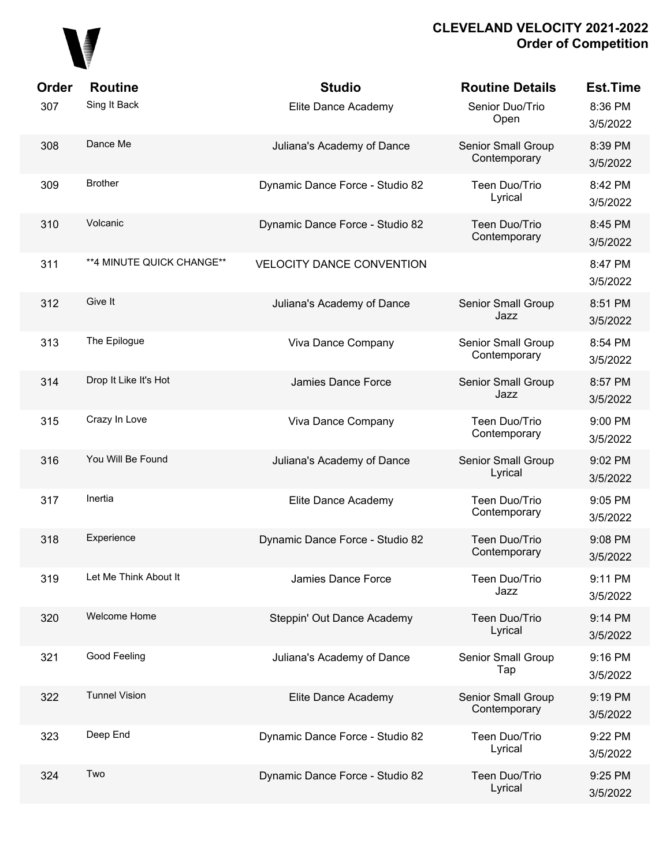

| Order<br>307 | <b>Routine</b><br>Sing It Back | <b>Studio</b>                    | <b>Routine Details</b><br>Senior Duo/Trio | <b>Est.Time</b><br>8:36 PM |
|--------------|--------------------------------|----------------------------------|-------------------------------------------|----------------------------|
|              |                                | Elite Dance Academy              | Open                                      | 3/5/2022                   |
| 308          | Dance Me                       | Juliana's Academy of Dance       | Senior Small Group<br>Contemporary        | 8:39 PM<br>3/5/2022        |
| 309          | <b>Brother</b>                 | Dynamic Dance Force - Studio 82  | Teen Duo/Trio<br>Lyrical                  | 8:42 PM<br>3/5/2022        |
| 310          | Volcanic                       | Dynamic Dance Force - Studio 82  | Teen Duo/Trio<br>Contemporary             | 8:45 PM<br>3/5/2022        |
| 311          | **4 MINUTE QUICK CHANGE**      | <b>VELOCITY DANCE CONVENTION</b> |                                           | 8:47 PM<br>3/5/2022        |
| 312          | Give It                        | Juliana's Academy of Dance       | Senior Small Group<br>Jazz                | 8:51 PM<br>3/5/2022        |
| 313          | The Epilogue                   | Viva Dance Company               | Senior Small Group<br>Contemporary        | 8:54 PM<br>3/5/2022        |
| 314          | Drop It Like It's Hot          | Jamies Dance Force               | Senior Small Group<br>Jazz                | 8:57 PM<br>3/5/2022        |
| 315          | Crazy In Love                  | Viva Dance Company               | Teen Duo/Trio<br>Contemporary             | 9:00 PM<br>3/5/2022        |
| 316          | You Will Be Found              | Juliana's Academy of Dance       | Senior Small Group<br>Lyrical             | 9:02 PM<br>3/5/2022        |
| 317          | Inertia                        | Elite Dance Academy              | Teen Duo/Trio<br>Contemporary             | 9:05 PM<br>3/5/2022        |
| 318          | Experience                     | Dynamic Dance Force - Studio 82  | Teen Duo/Trio<br>Contemporary             | 9:08 PM<br>3/5/2022        |
| 319          | Let Me Think About It          | Jamies Dance Force               | Teen Duo/Trio<br>Jazz                     | 9:11 PM<br>3/5/2022        |
| 320          | Welcome Home                   | Steppin' Out Dance Academy       | Teen Duo/Trio<br>Lyrical                  | 9:14 PM<br>3/5/2022        |
| 321          | Good Feeling                   | Juliana's Academy of Dance       | Senior Small Group<br>Tap                 | 9:16 PM<br>3/5/2022        |
| 322          | <b>Tunnel Vision</b>           | Elite Dance Academy              | Senior Small Group<br>Contemporary        | 9:19 PM<br>3/5/2022        |
| 323          | Deep End                       | Dynamic Dance Force - Studio 82  | Teen Duo/Trio<br>Lyrical                  | 9:22 PM<br>3/5/2022        |
| 324          | Two                            | Dynamic Dance Force - Studio 82  | Teen Duo/Trio<br>Lyrical                  | 9:25 PM<br>3/5/2022        |